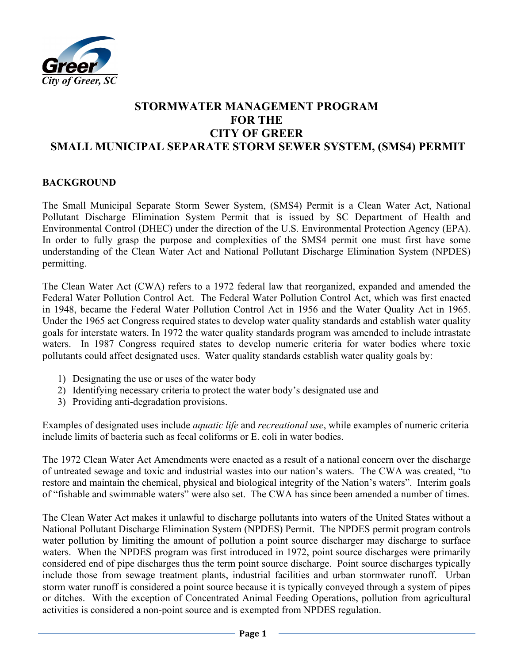

# **STORMWATER MANAGEMENT PROGRAM FOR THE CITY OF GREER SMALL MUNICIPAL SEPARATE STORM SEWER SYSTEM, (SMS4) PERMIT**

#### **BACKGROUND**

The Small Municipal Separate Storm Sewer System, (SMS4) Permit is a Clean Water Act, National Pollutant Discharge Elimination System Permit that is issued by SC Department of Health and Environmental Control (DHEC) under the direction of the U.S. Environmental Protection Agency (EPA). In order to fully grasp the purpose and complexities of the SMS4 permit one must first have some understanding of the Clean Water Act and National Pollutant Discharge Elimination System (NPDES) permitting.

The Clean Water Act (CWA) refers to a 1972 federal law that reorganized, expanded and amended the Federal Water Pollution Control Act. The Federal Water Pollution Control Act, which was first enacted in 1948, became the Federal Water Pollution Control Act in 1956 and the Water Quality Act in 1965. Under the 1965 act Congress required states to develop water quality standards and establish water quality goals for interstate waters. In 1972 the water quality standards program was amended to include intrastate waters. In 1987 Congress required states to develop numeric criteria for water bodies where toxic pollutants could affect designated uses. Water quality standards establish water quality goals by:

- 1) Designating the use or uses of the water body
- 2) Identifying necessary criteria to protect the water body's designated use and
- 3) Providing anti-degradation provisions.

Examples of designated uses include *aquatic life* and *recreational use*, while examples of numeric criteria include limits of bacteria such as fecal coliforms or E. coli in water bodies.

The 1972 Clean Water Act Amendments were enacted as a result of a national concern over the discharge of untreated sewage and toxic and industrial wastes into our nation's waters. The CWA was created, "to restore and maintain the chemical, physical and biological integrity of the Nation's waters". Interim goals of "fishable and swimmable waters" were also set. The CWA has since been amended a number of times.

The Clean Water Act makes it unlawful to discharge pollutants into waters of the United States without a National Pollutant Discharge Elimination System (NPDES) Permit. The NPDES permit program controls water pollution by limiting the amount of pollution a point source discharger may discharge to surface waters. When the NPDES program was first introduced in 1972, point source discharges were primarily considered end of pipe discharges thus the term point source discharge. Point source discharges typically include those from sewage treatment plants, industrial facilities and urban stormwater runoff. Urban storm water runoff is considered a point source because it is typically conveyed through a system of pipes or ditches. With the exception of Concentrated Animal Feeding Operations, pollution from agricultural activities is considered a non-point source and is exempted from NPDES regulation.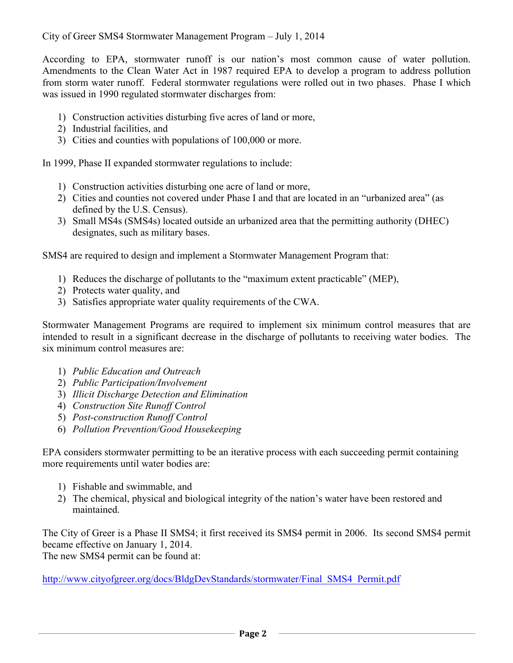According to EPA, stormwater runoff is our nation's most common cause of water pollution. Amendments to the Clean Water Act in 1987 required EPA to develop a program to address pollution from storm water runoff. Federal stormwater regulations were rolled out in two phases. Phase I which was issued in 1990 regulated stormwater discharges from:

- 1) Construction activities disturbing five acres of land or more,
- 2) Industrial facilities, and
- 3) Cities and counties with populations of 100,000 or more.

In 1999, Phase II expanded stormwater regulations to include:

- 1) Construction activities disturbing one acre of land or more,
- 2) Cities and counties not covered under Phase I and that are located in an "urbanized area" (as defined by the U.S. Census).
- 3) Small MS4s (SMS4s) located outside an urbanized area that the permitting authority (DHEC) designates, such as military bases.

SMS4 are required to design and implement a Stormwater Management Program that:

- 1) Reduces the discharge of pollutants to the "maximum extent practicable" (MEP),
- 2) Protects water quality, and
- 3) Satisfies appropriate water quality requirements of the CWA.

Stormwater Management Programs are required to implement six minimum control measures that are intended to result in a significant decrease in the discharge of pollutants to receiving water bodies. The six minimum control measures are:

- 1) *Public Education and Outreach*
- 2) *Public Participation/Involvement*
- 3) *Illicit Discharge Detection and Elimination*
- 4) *Construction Site Runoff Control*
- 5) *Post-construction Runoff Control*
- 6) *Pollution Prevention/Good Housekeeping*

EPA considers stormwater permitting to be an iterative process with each succeeding permit containing more requirements until water bodies are:

- 1) Fishable and swimmable, and
- 2) The chemical, physical and biological integrity of the nation's water have been restored and maintained.

The City of Greer is a Phase II SMS4; it first received its SMS4 permit in 2006. Its second SMS4 permit became effective on January 1, 2014. The new SMS4 permit can be found at:

http://www.cityofgreer.org/docs/BldgDevStandards/stormwater/Final\_SMS4\_Permit.pdf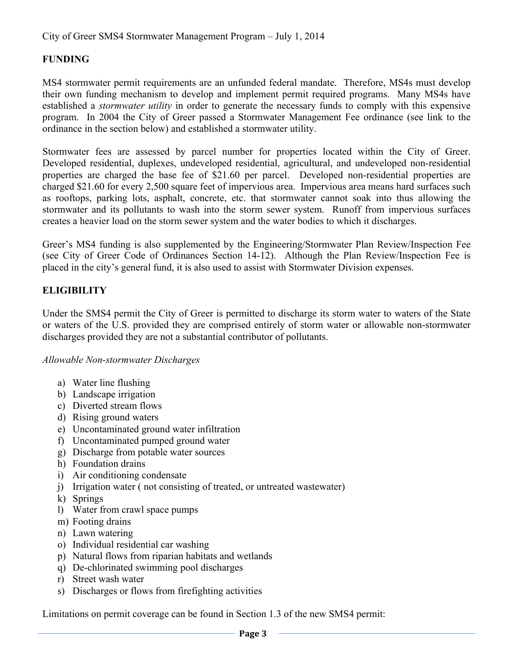## **FUNDING**

MS4 stormwater permit requirements are an unfunded federal mandate. Therefore, MS4s must develop their own funding mechanism to develop and implement permit required programs. Many MS4s have established a *stormwater utility* in order to generate the necessary funds to comply with this expensive program. In 2004 the City of Greer passed a Stormwater Management Fee ordinance (see link to the ordinance in the section below) and established a stormwater utility.

Stormwater fees are assessed by parcel number for properties located within the City of Greer. Developed residential, duplexes, undeveloped residential, agricultural, and undeveloped non-residential properties are charged the base fee of \$21.60 per parcel. Developed non-residential properties are charged \$21.60 for every 2,500 square feet of impervious area. Impervious area means hard surfaces such as rooftops, parking lots, asphalt, concrete, etc. that stormwater cannot soak into thus allowing the stormwater and its pollutants to wash into the storm sewer system. Runoff from impervious surfaces creates a heavier load on the storm sewer system and the water bodies to which it discharges.

Greer's MS4 funding is also supplemented by the Engineering/Stormwater Plan Review/Inspection Fee (see City of Greer Code of Ordinances Section 14-12). Although the Plan Review/Inspection Fee is placed in the city's general fund, it is also used to assist with Stormwater Division expenses.

## **ELIGIBILITY**

Under the SMS4 permit the City of Greer is permitted to discharge its storm water to waters of the State or waters of the U.S. provided they are comprised entirely of storm water or allowable non-stormwater discharges provided they are not a substantial contributor of pollutants.

#### *Allowable Non-stormwater Discharges*

- a) Water line flushing
- b) Landscape irrigation
- c) Diverted stream flows
- d) Rising ground waters
- e) Uncontaminated ground water infiltration
- f) Uncontaminated pumped ground water
- g) Discharge from potable water sources
- h) Foundation drains
- i) Air conditioning condensate
- j) Irrigation water ( not consisting of treated, or untreated wastewater)
- k) Springs
- l) Water from crawl space pumps
- m) Footing drains
- n) Lawn watering
- o) Individual residential car washing
- p) Natural flows from riparian habitats and wetlands
- q) De-chlorinated swimming pool discharges
- r) Street wash water
- s) Discharges or flows from firefighting activities

Limitations on permit coverage can be found in Section 1.3 of the new SMS4 permit: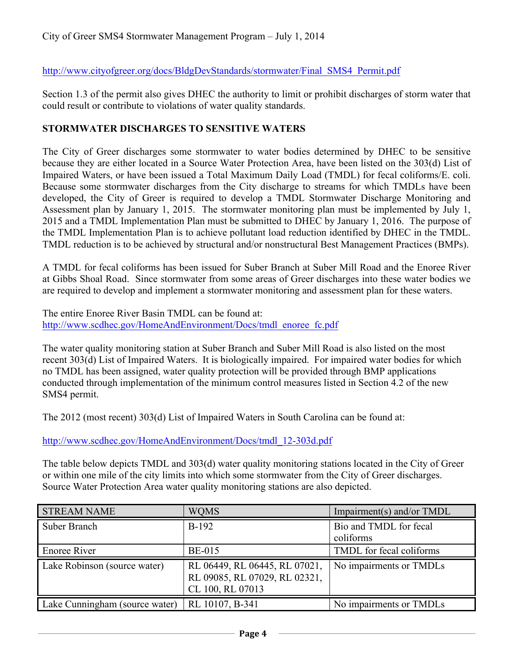http://www.cityofgreer.org/docs/BldgDevStandards/stormwater/Final\_SMS4\_Permit.pdf

Section 1.3 of the permit also gives DHEC the authority to limit or prohibit discharges of storm water that could result or contribute to violations of water quality standards.

### **STORMWATER DISCHARGES TO SENSITIVE WATERS**

The City of Greer discharges some stormwater to water bodies determined by DHEC to be sensitive because they are either located in a Source Water Protection Area, have been listed on the 303(d) List of Impaired Waters, or have been issued a Total Maximum Daily Load (TMDL) for fecal coliforms/E. coli. Because some stormwater discharges from the City discharge to streams for which TMDLs have been developed, the City of Greer is required to develop a TMDL Stormwater Discharge Monitoring and Assessment plan by January 1, 2015. The stormwater monitoring plan must be implemented by July 1, 2015 and a TMDL Implementation Plan must be submitted to DHEC by January 1, 2016. The purpose of the TMDL Implementation Plan is to achieve pollutant load reduction identified by DHEC in the TMDL. TMDL reduction is to be achieved by structural and/or nonstructural Best Management Practices (BMPs).

A TMDL for fecal coliforms has been issued for Suber Branch at Suber Mill Road and the Enoree River at Gibbs Shoal Road. Since stormwater from some areas of Greer discharges into these water bodies we are required to develop and implement a stormwater monitoring and assessment plan for these waters.

The entire Enoree River Basin TMDL can be found at: http://www.scdhec.gov/HomeAndEnvironment/Docs/tmdl\_enoree\_fc.pdf

The water quality monitoring station at Suber Branch and Suber Mill Road is also listed on the most recent 303(d) List of Impaired Waters. It is biologically impaired. For impaired water bodies for which no TMDL has been assigned, water quality protection will be provided through BMP applications conducted through implementation of the minimum control measures listed in Section 4.2 of the new SMS4 permit.

The 2012 (most recent) 303(d) List of Impaired Waters in South Carolina can be found at:

http://www.scdhec.gov/HomeAndEnvironment/Docs/tmdl\_12-303d.pdf

The table below depicts TMDL and 303(d) water quality monitoring stations located in the City of Greer or within one mile of the city limits into which some stormwater from the City of Greer discharges. Source Water Protection Area water quality monitoring stations are also depicted.

| <b>STREAM NAME</b>             | <b>WOMS</b>                                                                        | Impairment(s) and/or $TMDL$ |
|--------------------------------|------------------------------------------------------------------------------------|-----------------------------|
| Suber Branch                   | $B-192$                                                                            | Bio and TMDL for fecal      |
|                                |                                                                                    | coliforms                   |
| <b>Enoree River</b>            | <b>BE-015</b>                                                                      | TMDL for fecal coliforms    |
| Lake Robinson (source water)   | RL 06449, RL 06445, RL 07021,<br>RL 09085, RL 07029, RL 02321,<br>CL 100, RL 07013 | No impairments or TMDLs     |
| Lake Cunningham (source water) | RL 10107, B-341                                                                    | No impairments or TMDLs     |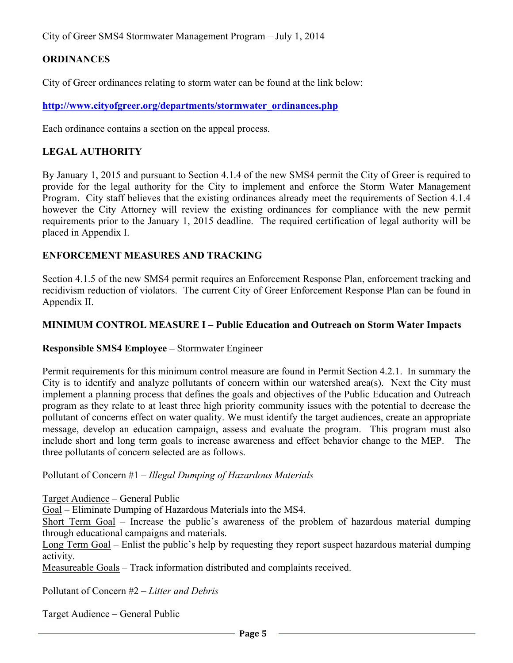### **ORDINANCES**

City of Greer ordinances relating to storm water can be found at the link below:

**http://www.cityofgreer.org/departments/stormwater\_ordinances.php**

Each ordinance contains a section on the appeal process.

#### **LEGAL AUTHORITY**

By January 1, 2015 and pursuant to Section 4.1.4 of the new SMS4 permit the City of Greer is required to provide for the legal authority for the City to implement and enforce the Storm Water Management Program. City staff believes that the existing ordinances already meet the requirements of Section 4.1.4 however the City Attorney will review the existing ordinances for compliance with the new permit requirements prior to the January 1, 2015 deadline. The required certification of legal authority will be placed in Appendix I.

### **ENFORCEMENT MEASURES AND TRACKING**

Section 4.1.5 of the new SMS4 permit requires an Enforcement Response Plan, enforcement tracking and recidivism reduction of violators. The current City of Greer Enforcement Response Plan can be found in Appendix II.

#### **MINIMUM CONTROL MEASURE I – Public Education and Outreach on Storm Water Impacts**

#### **Responsible SMS4 Employee –** Stormwater Engineer

Permit requirements for this minimum control measure are found in Permit Section 4.2.1. In summary the City is to identify and analyze pollutants of concern within our watershed area(s). Next the City must implement a planning process that defines the goals and objectives of the Public Education and Outreach program as they relate to at least three high priority community issues with the potential to decrease the pollutant of concerns effect on water quality. We must identify the target audiences, create an appropriate message, develop an education campaign, assess and evaluate the program. This program must also include short and long term goals to increase awareness and effect behavior change to the MEP. The three pollutants of concern selected are as follows.

#### Pollutant of Concern #1 – *Illegal Dumping of Hazardous Materials*

Target Audience – General Public

Goal – Eliminate Dumping of Hazardous Materials into the MS4.

Short Term Goal – Increase the public's awareness of the problem of hazardous material dumping through educational campaigns and materials.

Long Term Goal – Enlist the public's help by requesting they report suspect hazardous material dumping activity.

Measureable Goals – Track information distributed and complaints received.

Pollutant of Concern #2 – *Litter and Debris*

Target Audience – General Public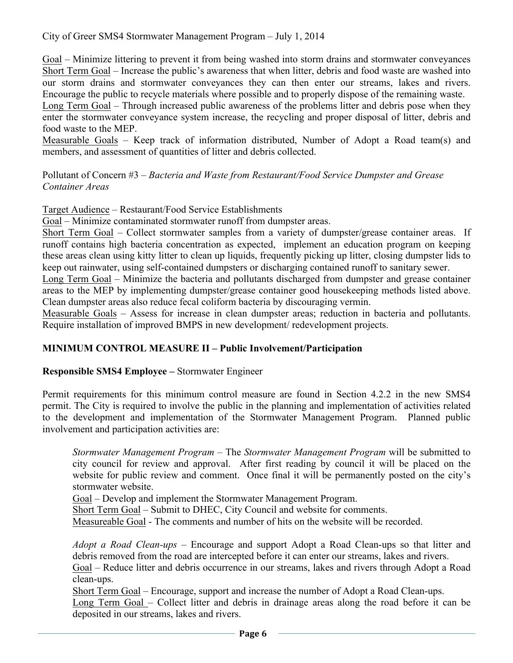Goal – Minimize littering to prevent it from being washed into storm drains and stormwater conveyances Short Term Goal – Increase the public's awareness that when litter, debris and food waste are washed into our storm drains and stormwater conveyances they can then enter our streams, lakes and rivers. Encourage the public to recycle materials where possible and to properly dispose of the remaining waste.

Long Term Goal – Through increased public awareness of the problems litter and debris pose when they enter the stormwater conveyance system increase, the recycling and proper disposal of litter, debris and food waste to the MEP.

Measurable Goals – Keep track of information distributed, Number of Adopt a Road team(s) and members, and assessment of quantities of litter and debris collected.

Pollutant of Concern #3 – *Bacteria and Waste from Restaurant/Food Service Dumpster and Grease Container Areas*

Target Audience – Restaurant/Food Service Establishments

Goal – Minimize contaminated stormwater runoff from dumpster areas.

Short Term Goal – Collect stormwater samples from a variety of dumpster/grease container areas. If runoff contains high bacteria concentration as expected, implement an education program on keeping these areas clean using kitty litter to clean up liquids, frequently picking up litter, closing dumpster lids to keep out rainwater, using self-contained dumpsters or discharging contained runoff to sanitary sewer.

Long Term Goal – Minimize the bacteria and pollutants discharged from dumpster and grease container areas to the MEP by implementing dumpster/grease container good housekeeping methods listed above. Clean dumpster areas also reduce fecal coliform bacteria by discouraging vermin.

Measurable Goals – Assess for increase in clean dumpster areas; reduction in bacteria and pollutants. Require installation of improved BMPS in new development/ redevelopment projects.

#### **MINIMUM CONTROL MEASURE II – Public Involvement/Participation**

#### **Responsible SMS4 Employee –** Stormwater Engineer

Permit requirements for this minimum control measure are found in Section 4.2.2 in the new SMS4 permit. The City is required to involve the public in the planning and implementation of activities related to the development and implementation of the Stormwater Management Program. Planned public involvement and participation activities are:

*Stormwater Management Program* – The *Stormwater Management Program* will be submitted to city council for review and approval. After first reading by council it will be placed on the website for public review and comment. Once final it will be permanently posted on the city's stormwater website.

Goal – Develop and implement the Stormwater Management Program.

Short Term Goal – Submit to DHEC, City Council and website for comments.

Measureable Goal - The comments and number of hits on the website will be recorded.

*Adopt a Road Clean-ups* – Encourage and support Adopt a Road Clean-ups so that litter and debris removed from the road are intercepted before it can enter our streams, lakes and rivers.

Goal – Reduce litter and debris occurrence in our streams, lakes and rivers through Adopt a Road clean-ups.

Short Term Goal – Encourage, support and increase the number of Adopt a Road Clean-ups.

Long Term Goal – Collect litter and debris in drainage areas along the road before it can be deposited in our streams, lakes and rivers.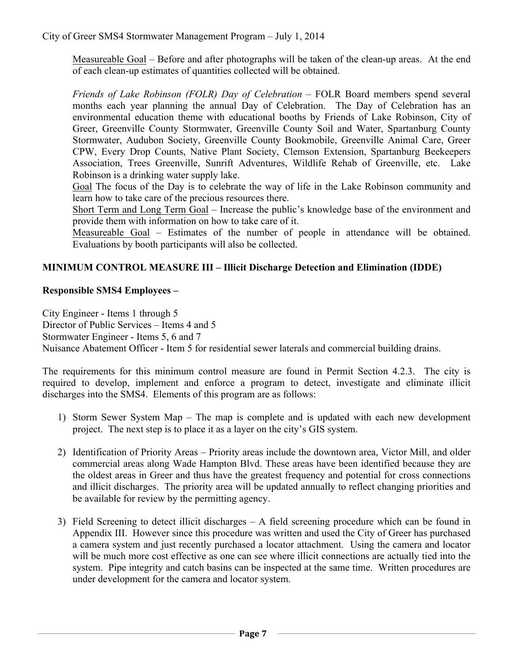Measureable Goal *–* Before and after photographs will be taken of the clean-up areas. At the end of each clean-up estimates of quantities collected will be obtained.

*Friends of Lake Robinson (FOLR) Day of Celebration* – FOLR Board members spend several months each year planning the annual Day of Celebration. The Day of Celebration has an environmental education theme with educational booths by Friends of Lake Robinson, City of Greer, Greenville County Stormwater, Greenville County Soil and Water, Spartanburg County Stormwater, Audubon Society, Greenville County Bookmobile, Greenville Animal Care, Greer CPW, Every Drop Counts, Native Plant Society, Clemson Extension, Spartanburg Beekeepers Association, Trees Greenville, Sunrift Adventures, Wildlife Rehab of Greenville, etc. Lake Robinson is a drinking water supply lake.

Goal The focus of the Day is to celebrate the way of life in the Lake Robinson community and learn how to take care of the precious resources there.

Short Term and Long Term Goal – Increase the public's knowledge base of the environment and provide them with information on how to take care of it.

Measureable Goal *–* Estimates of the number of people in attendance will be obtained. Evaluations by booth participants will also be collected.

### **MINIMUM CONTROL MEASURE III – Illicit Discharge Detection and Elimination (IDDE)**

### **Responsible SMS4 Employees –**

City Engineer - Items 1 through 5 Director of Public Services – Items 4 and 5 Stormwater Engineer - Items 5, 6 and 7 Nuisance Abatement Officer - Item 5 for residential sewer laterals and commercial building drains.

The requirements for this minimum control measure are found in Permit Section 4.2.3. The city is required to develop, implement and enforce a program to detect, investigate and eliminate illicit discharges into the SMS4. Elements of this program are as follows:

- 1) Storm Sewer System Map The map is complete and is updated with each new development project. The next step is to place it as a layer on the city's GIS system.
- 2) Identification of Priority Areas Priority areas include the downtown area, Victor Mill, and older commercial areas along Wade Hampton Blvd. These areas have been identified because they are the oldest areas in Greer and thus have the greatest frequency and potential for cross connections and illicit discharges. The priority area will be updated annually to reflect changing priorities and be available for review by the permitting agency.
- 3) Field Screening to detect illicit discharges A field screening procedure which can be found in Appendix III. However since this procedure was written and used the City of Greer has purchased a camera system and just recently purchased a locator attachment. Using the camera and locator will be much more cost effective as one can see where illicit connections are actually tied into the system. Pipe integrity and catch basins can be inspected at the same time. Written procedures are under development for the camera and locator system.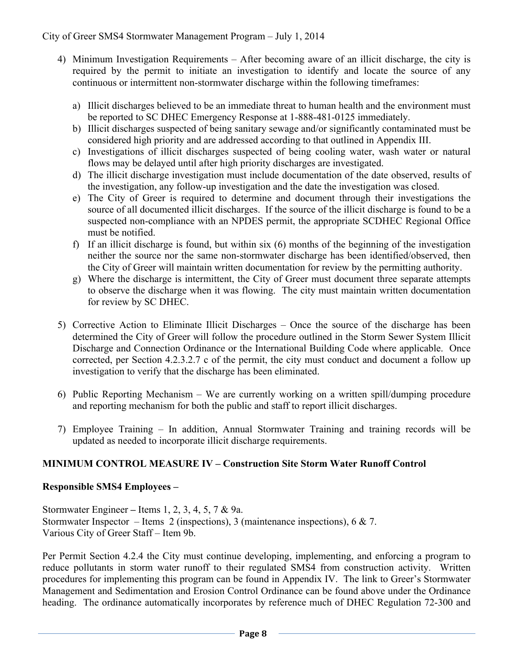- 4) Minimum Investigation Requirements After becoming aware of an illicit discharge, the city is required by the permit to initiate an investigation to identify and locate the source of any continuous or intermittent non-stormwater discharge within the following timeframes:
	- a) Illicit discharges believed to be an immediate threat to human health and the environment must be reported to SC DHEC Emergency Response at 1-888-481-0125 immediately.
	- b) Illicit discharges suspected of being sanitary sewage and/or significantly contaminated must be considered high priority and are addressed according to that outlined in Appendix III.
	- c) Investigations of illicit discharges suspected of being cooling water, wash water or natural flows may be delayed until after high priority discharges are investigated.
	- d) The illicit discharge investigation must include documentation of the date observed, results of the investigation, any follow-up investigation and the date the investigation was closed.
	- e) The City of Greer is required to determine and document through their investigations the source of all documented illicit discharges. If the source of the illicit discharge is found to be a suspected non-compliance with an NPDES permit, the appropriate SCDHEC Regional Office must be notified.
	- f) If an illicit discharge is found, but within six (6) months of the beginning of the investigation neither the source nor the same non-stormwater discharge has been identified/observed, then the City of Greer will maintain written documentation for review by the permitting authority.
	- g) Where the discharge is intermittent, the City of Greer must document three separate attempts to observe the discharge when it was flowing. The city must maintain written documentation for review by SC DHEC.
- 5) Corrective Action to Eliminate Illicit Discharges Once the source of the discharge has been determined the City of Greer will follow the procedure outlined in the Storm Sewer System Illicit Discharge and Connection Ordinance or the International Building Code where applicable. Once corrected, per Section 4.2.3.2.7 c of the permit, the city must conduct and document a follow up investigation to verify that the discharge has been eliminated.
- 6) Public Reporting Mechanism We are currently working on a written spill/dumping procedure and reporting mechanism for both the public and staff to report illicit discharges.
- 7) Employee Training In addition, Annual Stormwater Training and training records will be updated as needed to incorporate illicit discharge requirements.

### **MINIMUM CONTROL MEASURE IV – Construction Site Storm Water Runoff Control**

### **Responsible SMS4 Employees –**

Stormwater Engineer **–** Items 1, 2, 3, 4, 5, 7 & 9a. Stormwater Inspector – Items 2 (inspections), 3 (maintenance inspections), 6  $\&$  7. Various City of Greer Staff – Item 9b.

Per Permit Section 4.2.4 the City must continue developing, implementing, and enforcing a program to reduce pollutants in storm water runoff to their regulated SMS4 from construction activity. Written procedures for implementing this program can be found in Appendix IV. The link to Greer's Stormwater Management and Sedimentation and Erosion Control Ordinance can be found above under the Ordinance heading. The ordinance automatically incorporates by reference much of DHEC Regulation 72-300 and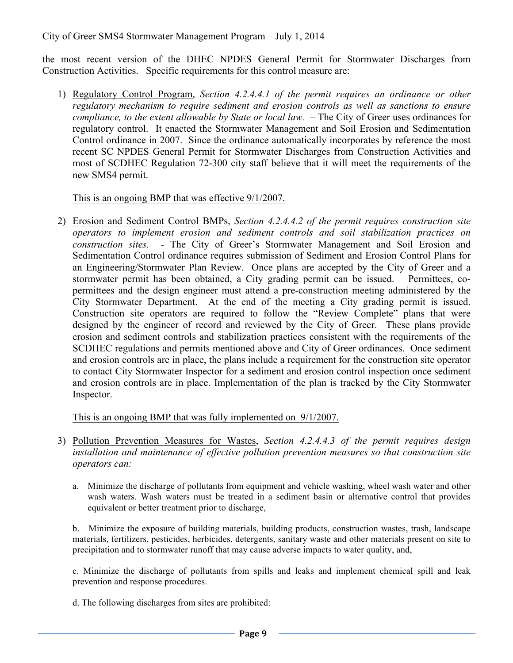the most recent version of the DHEC NPDES General Permit for Stormwater Discharges from Construction Activities. Specific requirements for this control measure are:

1) Regulatory Control Program, *Section 4.2.4.4.1 of the permit requires an ordinance or other regulatory mechanism to require sediment and erosion controls as well as sanctions to ensure compliance, to the extent allowable by State or local law.* – The City of Greer uses ordinances for regulatory control. It enacted the Stormwater Management and Soil Erosion and Sedimentation Control ordinance in 2007. Since the ordinance automatically incorporates by reference the most recent SC NPDES General Permit for Stormwater Discharges from Construction Activities and most of SCDHEC Regulation 72-300 city staff believe that it will meet the requirements of the new SMS4 permit.

This is an ongoing BMP that was effective 9/1/2007.

2) Erosion and Sediment Control BMPs, *Section 4.2.4.4.2 of the permit requires construction site operators to implement erosion and sediment controls and soil stabilization practices on construction sites.* - The City of Greer's Stormwater Management and Soil Erosion and Sedimentation Control ordinance requires submission of Sediment and Erosion Control Plans for an Engineering/Stormwater Plan Review. Once plans are accepted by the City of Greer and a stormwater permit has been obtained, a City grading permit can be issued. Permittees, copermittees and the design engineer must attend a pre-construction meeting administered by the City Stormwater Department. At the end of the meeting a City grading permit is issued. Construction site operators are required to follow the "Review Complete" plans that were designed by the engineer of record and reviewed by the City of Greer. These plans provide erosion and sediment controls and stabilization practices consistent with the requirements of the SCDHEC regulations and permits mentioned above and City of Greer ordinances. Once sediment and erosion controls are in place, the plans include a requirement for the construction site operator to contact City Stormwater Inspector for a sediment and erosion control inspection once sediment and erosion controls are in place. Implementation of the plan is tracked by the City Stormwater Inspector.

This is an ongoing BMP that was fully implemented on 9/1/2007.

- 3) Pollution Prevention Measures for Wastes, *Section 4.2.4.4.3 of the permit requires design installation and maintenance of effective pollution prevention measures so that construction site operators can:*
	- a. Minimize the discharge of pollutants from equipment and vehicle washing, wheel wash water and other wash waters. Wash waters must be treated in a sediment basin or alternative control that provides equivalent or better treatment prior to discharge,

b. Minimize the exposure of building materials, building products, construction wastes, trash, landscape materials, fertilizers, pesticides, herbicides, detergents, sanitary waste and other materials present on site to precipitation and to stormwater runoff that may cause adverse impacts to water quality, and,

c. Minimize the discharge of pollutants from spills and leaks and implement chemical spill and leak prevention and response procedures.

d. The following discharges from sites are prohibited: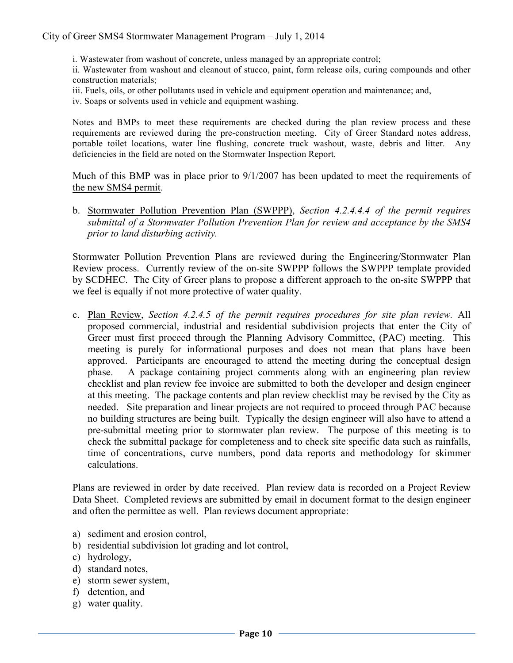i. Wastewater from washout of concrete, unless managed by an appropriate control;

ii. Wastewater from washout and cleanout of stucco, paint, form release oils, curing compounds and other construction materials;

- iii. Fuels, oils, or other pollutants used in vehicle and equipment operation and maintenance; and,
- iv. Soaps or solvents used in vehicle and equipment washing.

Notes and BMPs to meet these requirements are checked during the plan review process and these requirements are reviewed during the pre-construction meeting. City of Greer Standard notes address, portable toilet locations, water line flushing, concrete truck washout, waste, debris and litter. Any deficiencies in the field are noted on the Stormwater Inspection Report.

Much of this BMP was in place prior to  $9/1/2007$  has been updated to meet the requirements of the new SMS4 permit.

b. Stormwater Pollution Prevention Plan (SWPPP), *Section 4.2.4.4.4 of the permit requires submittal of a Stormwater Pollution Prevention Plan for review and acceptance by the SMS4 prior to land disturbing activity.*

Stormwater Pollution Prevention Plans are reviewed during the Engineering/Stormwater Plan Review process. Currently review of the on-site SWPPP follows the SWPPP template provided by SCDHEC. The City of Greer plans to propose a different approach to the on-site SWPPP that we feel is equally if not more protective of water quality.

c. Plan Review, *Section 4.2.4.5 of the permit requires procedures for site plan review.* All proposed commercial, industrial and residential subdivision projects that enter the City of Greer must first proceed through the Planning Advisory Committee, (PAC) meeting. This meeting is purely for informational purposes and does not mean that plans have been approved. Participants are encouraged to attend the meeting during the conceptual design phase. A package containing project comments along with an engineering plan review checklist and plan review fee invoice are submitted to both the developer and design engineer at this meeting. The package contents and plan review checklist may be revised by the City as needed. Site preparation and linear projects are not required to proceed through PAC because no building structures are being built. Typically the design engineer will also have to attend a pre-submittal meeting prior to stormwater plan review. The purpose of this meeting is to check the submittal package for completeness and to check site specific data such as rainfalls, time of concentrations, curve numbers, pond data reports and methodology for skimmer calculations.

Plans are reviewed in order by date received. Plan review data is recorded on a Project Review Data Sheet. Completed reviews are submitted by email in document format to the design engineer and often the permittee as well. Plan reviews document appropriate:

- a) sediment and erosion control,
- b) residential subdivision lot grading and lot control,
- c) hydrology,
- d) standard notes,
- e) storm sewer system,
- f) detention, and
- g) water quality.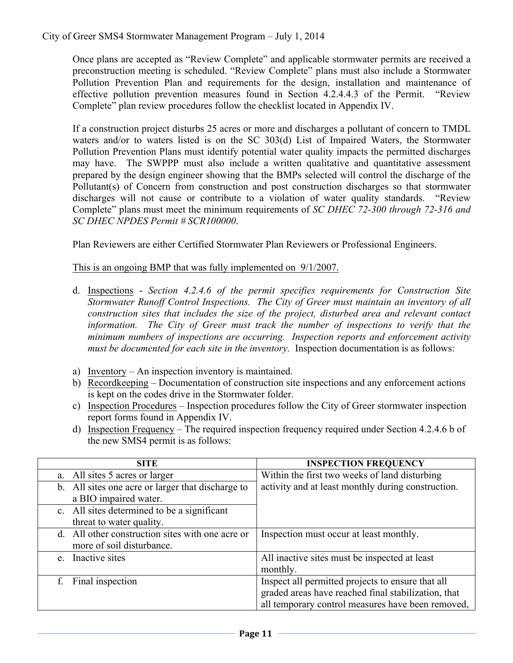Once plans are accepted as "Review Complete" and applicable stormwater permits are received a preconstruction meeting is scheduled. "Review Complete" plans must also include a Stormwater Pollution Prevention Plan and requirements for the design, installation and maintenance of effective pollution prevention measures found in Section 4.2.4.4.3 of the Permit. "Review Complete" plan review procedures follow the checklist located in Appendix IV.

If a construction project disturbs 25 acres or more and discharges a pollutant of concern to TMDL waters and/or to waters listed is on the SC 303(d) List of Impaired Waters, the Stormwater Pollution Prevention Plans must identify potential water quality impacts the permitted discharges may have. The SWPPP must also include a written qualitative and quantitative assessment prepared by the design engineer showing that the BMPs selected will control the discharge of the Pollutant(s) of Concern from construction and post construction discharges so that stormwater discharges will not cause or contribute to a violation of water quality standards. "Review Complete" plans must meet the minimum requirements of *SC DHEC 72-300 through 72-316 and SC DHEC NPDES Permit # SCR100000*.

Plan Reviewers are either Certified Stormwater Plan Reviewers or Professional Engineers.

This is an ongoing BMP that was fully implemented on 9/1/2007.

- d. Inspections *Section 4.2.4.6 of the permit specifies requirements for Construction Site Stormwater Runoff Control Inspections. The City of Greer must maintain an inventory of all construction sites that includes the size of the project, disturbed area and relevant contact information. The City of Greer must track the number of inspections to verify that the minimum numbers of inspections are occurring. Inspection reports and enforcement activity must be documented for each site in the inventory.* Inspection documentation is as follows:
- a) Inventory An inspection inventory is maintained.
- b) Recordkeeping Documentation of construction site inspections and any enforcement actions is kept on the codes drive in the Stormwater folder.
- c) Inspection Procedures Inspection procedures follow the City of Greer stormwater inspection report forms found in Appendix IV.
- d) Inspection Frequency The required inspection frequency required under Section 4.2.4.6 b of the new SMS4 permit is as follows:

| <b>SITE</b>                                       | <b>INSPECTION FREQUENCY</b>                         |
|---------------------------------------------------|-----------------------------------------------------|
| All sites 5 acres or larger<br>a.                 | Within the first two weeks of land disturbing       |
| b. All sites one acre or larger that discharge to | activity and at least monthly during construction.  |
| a BIO impaired water.                             |                                                     |
| c. All sites determined to be a significant       |                                                     |
| threat to water quality.                          |                                                     |
| d. All other construction sites with one acre or  | Inspection must occur at least monthly.             |
| more of soil disturbance.                         |                                                     |
| Inactive sites<br>e                               | All inactive sites must be inspected at least       |
|                                                   | monthly.                                            |
| Final inspection<br>f                             | Inspect all permitted projects to ensure that all   |
|                                                   | graded areas have reached final stabilization, that |
|                                                   | all temporary control measures have been removed,   |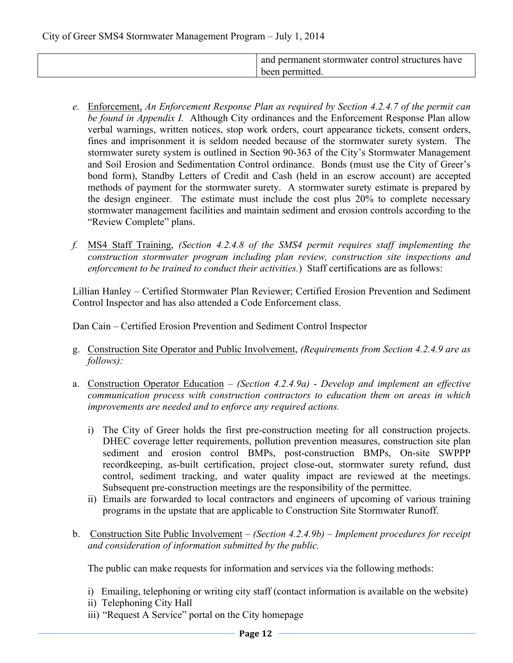| and permanent stormwater control structures have |
|--------------------------------------------------|
| been permitted.                                  |
|                                                  |

- *e.* Enforcement, *An Enforcement Response Plan as required by Section 4.2.4.7 of the permit can be found in Appendix I.* Although City ordinances and the Enforcement Response Plan allow verbal warnings, written notices, stop work orders, court appearance tickets, consent orders, fines and imprisonment it is seldom needed because of the stormwater surety system. The stormwater surety system is outlined in Section 90-363 of the City's Stormwater Management and Soil Erosion and Sedimentation Control ordinance. Bonds (must use the City of Greer's bond form), Standby Letters of Credit and Cash (held in an escrow account) are accepted methods of payment for the stormwater surety. A stormwater surety estimate is prepared by the design engineer. The estimate must include the cost plus 20% to complete necessary stormwater management facilities and maintain sediment and erosion controls according to the "Review Complete" plans.
- *f.* MS4 Staff Training, *(Section 4.2.4.8 of the SMS4 permit requires staff implementing the construction stormwater program including plan review, construction site inspections and enforcement to be trained to conduct their activities.*) Staff certifications are as follows:

Lillian Hanley – Certified Stormwater Plan Reviewer; Certified Erosion Prevention and Sediment Control Inspector and has also attended a Code Enforcement class.

Dan Cain – Certified Erosion Prevention and Sediment Control Inspector

- g. Construction Site Operator and Public Involvement, *(Requirements from Section 4.2.4.9 are as follows):*
- a. Construction Operator Education *(Section 4.2.4.9a) Develop and implement an effective communication process with construction contractors to education them on areas in which improvements are needed and to enforce any required actions.*
	- i) The City of Greer holds the first pre-construction meeting for all construction projects. DHEC coverage letter requirements, pollution prevention measures, construction site plan sediment and erosion control BMPs, post-construction BMPs, On-site SWPPP recordkeeping, as-built certification, project close-out, stormwater surety refund, dust control, sediment tracking, and water quality impact are reviewed at the meetings. Subsequent pre-construction meetings are the responsibility of the permittee.
	- ii) Emails are forwarded to local contractors and engineers of upcoming of various training programs in the upstate that are applicable to Construction Site Stormwater Runoff.
- b. Construction Site Public Involvement *(Section 4.2.4.9b) Implement procedures for receipt and consideration of information submitted by the public.*

The public can make requests for information and services via the following methods:

- i) Emailing, telephoning or writing city staff (contact information is available on the website)
- ii) Telephoning City Hall
- iii) "Request A Service" portal on the City homepage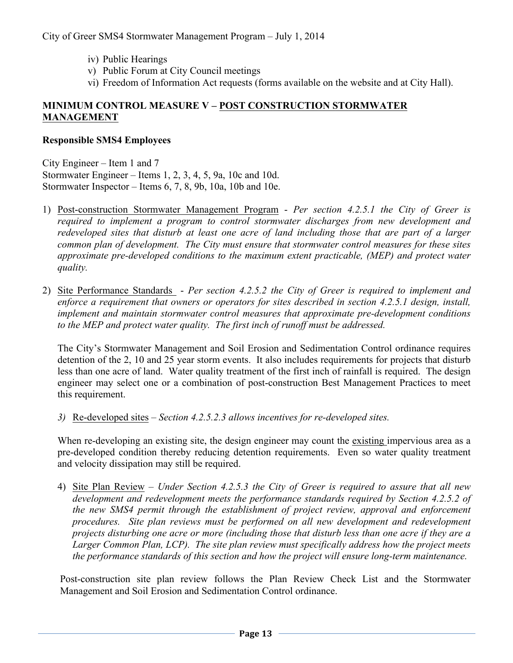- iv) Public Hearings
- v) Public Forum at City Council meetings
- vi) Freedom of Information Act requests (forms available on the website and at City Hall).

## **MINIMUM CONTROL MEASURE V – POST CONSTRUCTION STORMWATER MANAGEMENT**

#### **Responsible SMS4 Employees**

City Engineer – Item 1 and 7 Stormwater Engineer – Items 1, 2, 3, 4, 5, 9a, 10c and 10d. Stormwater Inspector – Items 6, 7, 8, 9b, 10a, 10b and 10e.

- 1) Post-construction Stormwater Management Program *Per section 4.2.5.1 the City of Greer is required to implement a program to control stormwater discharges from new development and redeveloped sites that disturb at least one acre of land including those that are part of a larger common plan of development. The City must ensure that stormwater control measures for these sites approximate pre-developed conditions to the maximum extent practicable, (MEP) and protect water quality.*
- 2) Site Performance Standards *Per section 4.2.5.2 the City of Greer is required to implement and enforce a requirement that owners or operators for sites described in section 4.2.5.1 design, install, implement and maintain stormwater control measures that approximate pre-development conditions to the MEP and protect water quality. The first inch of runoff must be addressed.*

The City's Stormwater Management and Soil Erosion and Sedimentation Control ordinance requires detention of the 2, 10 and 25 year storm events. It also includes requirements for projects that disturb less than one acre of land. Water quality treatment of the first inch of rainfall is required. The design engineer may select one or a combination of post-construction Best Management Practices to meet this requirement.

*3)* Re-developed sites – *Section 4.2.5.2.3 allows incentives for re-developed sites.*

When re-developing an existing site, the design engineer may count the existing impervious area as a pre-developed condition thereby reducing detention requirements. Even so water quality treatment and velocity dissipation may still be required.

4) Site Plan Review – *Under Section 4.2.5.3 the City of Greer is required to assure that all new development and redevelopment meets the performance standards required by Section 4.2.5.2 of the new SMS4 permit through the establishment of project review, approval and enforcement procedures. Site plan reviews must be performed on all new development and redevelopment projects disturbing one acre or more (including those that disturb less than one acre if they are a Larger Common Plan, LCP). The site plan review must specifically address how the project meets the performance standards of this section and how the project will ensure long-term maintenance.* 

Post-construction site plan review follows the Plan Review Check List and the Stormwater Management and Soil Erosion and Sedimentation Control ordinance.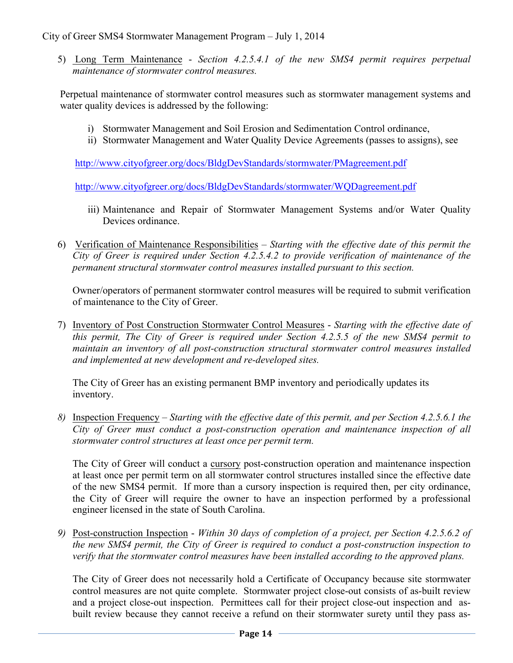5) Long Term Maintenance - *Section 4.2.5.4.1 of the new SMS4 permit requires perpetual maintenance of stormwater control measures.*

Perpetual maintenance of stormwater control measures such as stormwater management systems and water quality devices is addressed by the following:

- i) Stormwater Management and Soil Erosion and Sedimentation Control ordinance,
- ii) Stormwater Management and Water Quality Device Agreements (passes to assigns), see

http://www.cityofgreer.org/docs/BldgDevStandards/stormwater/PMagreement.pdf

http://www.cityofgreer.org/docs/BldgDevStandards/stormwater/WQDagreement.pdf

- iii) Maintenance and Repair of Stormwater Management Systems and/or Water Quality Devices ordinance.
- 6) Verification of Maintenance Responsibilities *Starting with the effective date of this permit the City of Greer is required under Section 4.2.5.4.2 to provide verification of maintenance of the permanent structural stormwater control measures installed pursuant to this section.*

Owner/operators of permanent stormwater control measures will be required to submit verification of maintenance to the City of Greer.

7) Inventory of Post Construction Stormwater Control Measures - *Starting with the effective date of this permit, The City of Greer is required under Section 4.2.5.5 of the new SMS4 permit to maintain an inventory of all post-construction structural stormwater control measures installed and implemented at new development and re-developed sites.*

The City of Greer has an existing permanent BMP inventory and periodically updates its inventory.

*8)* Inspection Frequency – *Starting with the effective date of this permit, and per Section 4.2.5.6.1 the City of Greer must conduct a post-construction operation and maintenance inspection of all stormwater control structures at least once per permit term.* 

The City of Greer will conduct a cursory post-construction operation and maintenance inspection at least once per permit term on all stormwater control structures installed since the effective date of the new SMS4 permit. If more than a cursory inspection is required then, per city ordinance, the City of Greer will require the owner to have an inspection performed by a professional engineer licensed in the state of South Carolina.

*9)* Post-construction Inspection - *Within 30 days of completion of a project, per Section 4.2.5.6.2 of the new SMS4 permit, the City of Greer is required to conduct a post-construction inspection to verify that the stormwater control measures have been installed according to the approved plans.*

The City of Greer does not necessarily hold a Certificate of Occupancy because site stormwater control measures are not quite complete. Stormwater project close-out consists of as-built review and a project close-out inspection. Permittees call for their project close-out inspection and asbuilt review because they cannot receive a refund on their stormwater surety until they pass as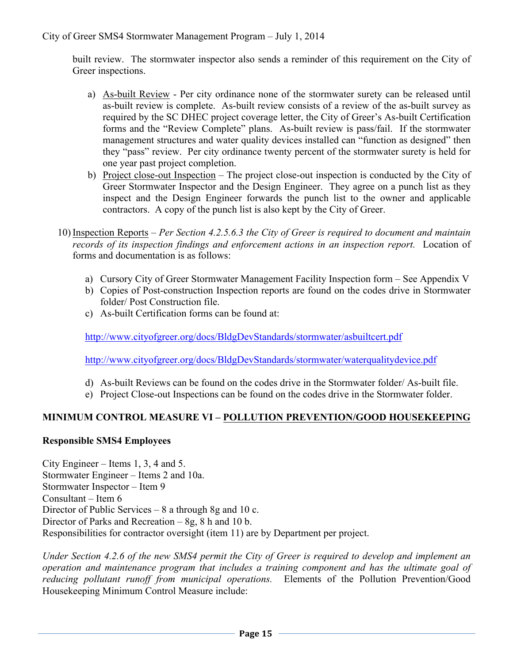built review. The stormwater inspector also sends a reminder of this requirement on the City of Greer inspections.

- a) As-built Review Per city ordinance none of the stormwater surety can be released until as-built review is complete. As-built review consists of a review of the as-built survey as required by the SC DHEC project coverage letter, the City of Greer's As-built Certification forms and the "Review Complete" plans. As-built review is pass/fail. If the stormwater management structures and water quality devices installed can "function as designed" then they "pass" review. Per city ordinance twenty percent of the stormwater surety is held for one year past project completion.
- b) Project close-out Inspection The project close-out inspection is conducted by the City of Greer Stormwater Inspector and the Design Engineer. They agree on a punch list as they inspect and the Design Engineer forwards the punch list to the owner and applicable contractors. A copy of the punch list is also kept by the City of Greer.
- 10) Inspection Reports *Per Section 4.2.5.6.3 the City of Greer is required to document and maintain records of its inspection findings and enforcement actions in an inspection report.* Location of forms and documentation is as follows:
	- a) Cursory City of Greer Stormwater Management Facility Inspection form See Appendix V
	- b) Copies of Post-construction Inspection reports are found on the codes drive in Stormwater folder/ Post Construction file.
	- c) As-built Certification forms can be found at:

http://www.cityofgreer.org/docs/BldgDevStandards/stormwater/asbuiltcert.pdf

http://www.cityofgreer.org/docs/BldgDevStandards/stormwater/waterqualitydevice.pdf

- d) As-built Reviews can be found on the codes drive in the Stormwater folder/ As-built file.
- e) Project Close-out Inspections can be found on the codes drive in the Stormwater folder.

#### **MINIMUM CONTROL MEASURE VI – POLLUTION PREVENTION/GOOD HOUSEKEEPING**

#### **Responsible SMS4 Employees**

City Engineer – Items 1, 3, 4 and 5. Stormwater Engineer – Items 2 and 10a. Stormwater Inspector – Item 9 Consultant – Item 6 Director of Public Services – 8 a through 8g and 10 c. Director of Parks and Recreation – 8g, 8 h and 10 b. Responsibilities for contractor oversight (item 11) are by Department per project.

*Under Section 4.2.6 of the new SMS4 permit the City of Greer is required to develop and implement an operation and maintenance program that includes a training component and has the ultimate goal of reducing pollutant runoff from municipal operations.* Elements of the Pollution Prevention/Good Housekeeping Minimum Control Measure include: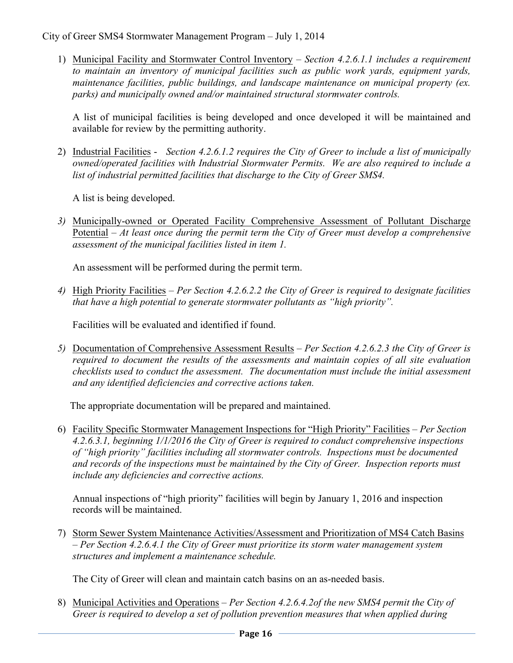1) Municipal Facility and Stormwater Control Inventory – *Section 4.2.6.1.1 includes a requirement to maintain an inventory of municipal facilities such as public work yards, equipment yards, maintenance facilities, public buildings, and landscape maintenance on municipal property (ex. parks) and municipally owned and/or maintained structural stormwater controls.*

A list of municipal facilities is being developed and once developed it will be maintained and available for review by the permitting authority.

2) Industrial Facilities - *Section 4.2.6.1.2 requires the City of Greer to include a list of municipally owned/operated facilities with Industrial Stormwater Permits. We are also required to include a list of industrial permitted facilities that discharge to the City of Greer SMS4.* 

A list is being developed.

*3)* Municipally-owned or Operated Facility Comprehensive Assessment of Pollutant Discharge Potential – *At least once during the permit term the City of Greer must develop a comprehensive assessment of the municipal facilities listed in item 1.* 

An assessment will be performed during the permit term.

*4)* High Priority Facilities *– Per Section 4.2.6.2.2 the City of Greer is required to designate facilities that have a high potential to generate stormwater pollutants as "high priority".*

Facilities will be evaluated and identified if found.

*5)* Documentation of Comprehensive Assessment Results – *Per Section 4.2.6.2.3 the City of Greer is required to document the results of the assessments and maintain copies of all site evaluation checklists used to conduct the assessment. The documentation must include the initial assessment and any identified deficiencies and corrective actions taken.* 

The appropriate documentation will be prepared and maintained.

6) Facility Specific Stormwater Management Inspections for "High Priority" Facilities – *Per Section 4.2.6.3.1, beginning 1/1/2016 the City of Greer is required to conduct comprehensive inspections of "high priority" facilities including all stormwater controls. Inspections must be documented and records of the inspections must be maintained by the City of Greer. Inspection reports must include any deficiencies and corrective actions.* 

Annual inspections of "high priority" facilities will begin by January 1, 2016 and inspection records will be maintained.

7) Storm Sewer System Maintenance Activities/Assessment and Prioritization of MS4 Catch Basins – *Per Section 4.2.6.4.1 the City of Greer must prioritize its storm water management system structures and implement a maintenance schedule.* 

The City of Greer will clean and maintain catch basins on an as-needed basis.

8) Municipal Activities and Operations – *Per Section 4.2.6.4.2of the new SMS4 permit the City of Greer is required to develop a set of pollution prevention measures that when applied during*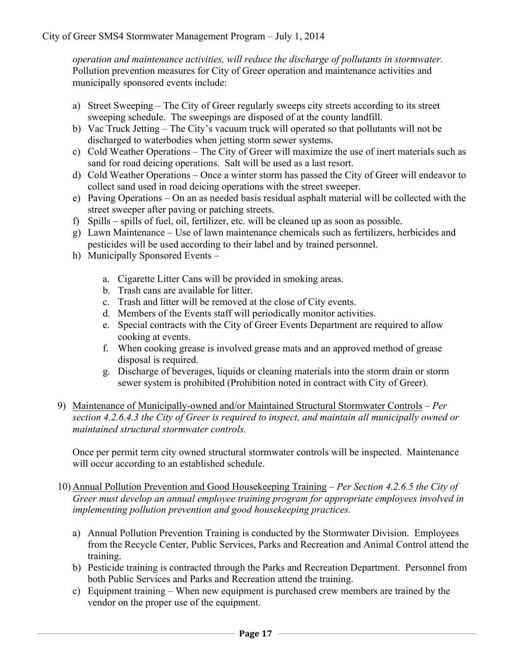*operation and maintenance activities, will reduce the discharge of pollutants in stormwater.*  Pollution prevention measures for City of Greer operation and maintenance activities and municipally sponsored events include:

- a) Street Sweeping The City of Greer regularly sweeps city streets according to its street sweeping schedule. The sweepings are disposed of at the county landfill.
- b) Vac Truck Jetting The City's vacuum truck will operated so that pollutants will not be discharged to waterbodies when jetting storm sewer systems.
- c) Cold Weather Operations The City of Greer will maximize the use of inert materials such as sand for road deicing operations. Salt will be used as a last resort.
- d) Cold Weather Operations Once a winter storm has passed the City of Greer will endeavor to collect sand used in road deicing operations with the street sweeper.
- e) Paving Operations On an as needed basis residual asphalt material will be collected with the street sweeper after paving or patching streets.
- f) Spills spills of fuel, oil, fertilizer, etc. will be cleaned up as soon as possible.
- g) Lawn Maintenance Use of lawn maintenance chemicals such as fertilizers, herbicides and pesticides will be used according to their label and by trained personnel.
- h) Municipally Sponsored Events
	- a. Cigarette Litter Cans will be provided in smoking areas.
	- b. Trash cans are available for litter.
	- c. Trash and litter will be removed at the close of City events.
	- d. Members of the Events staff will periodically monitor activities.
	- e. Special contracts with the City of Greer Events Department are required to allow cooking at events.
	- f. When cooking grease is involved grease mats and an approved method of grease disposal is required.
	- g. Discharge of beverages, liquids or cleaning materials into the storm drain or storm sewer system is prohibited (Prohibition noted in contract with City of Greer).
- 9) Maintenance of Municipally-owned and/or Maintained Structural Stormwater Controls *Per section 4.2.6.4.3 the City of Greer is required to inspect, and maintain all municipally owned or maintained structural stormwater controls.*

Once per permit term city owned structural stormwater controls will be inspected. Maintenance will occur according to an established schedule.

- 10) Annual Pollution Prevention and Good Housekeeping Training *Per Section 4.2.6.5 the City of Greer must develop an annual employee training program for appropriate employees involved in implementing pollution prevention and good housekeeping practices.* 
	- a) Annual Pollution Prevention Training is conducted by the Stormwater Division. Employees from the Recycle Center, Public Services, Parks and Recreation and Animal Control attend the training.
	- b) Pesticide training is contracted through the Parks and Recreation Department. Personnel from both Public Services and Parks and Recreation attend the training.
	- c) Equipment training When new equipment is purchased crew members are trained by the vendor on the proper use of the equipment.